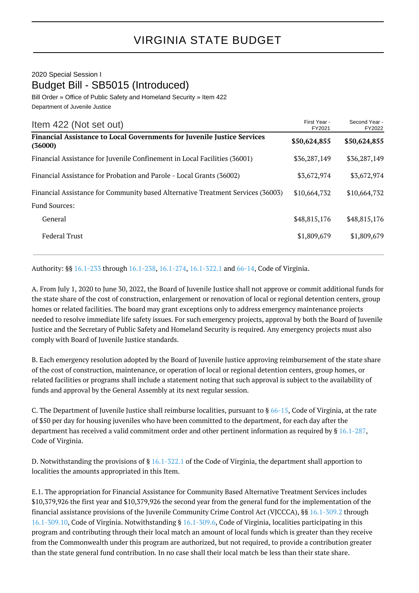## 2020 Special Session I Budget Bill - SB5015 (Introduced)

Bill Order » Office of Public Safety and Homeland Security » Item 422 Department of Juvenile Justice

| Item 422 (Not set out)                                                                    | First Year -<br>FY2021 | Second Year -<br>FY2022 |
|-------------------------------------------------------------------------------------------|------------------------|-------------------------|
| <b>Financial Assistance to Local Governments for Juvenile Justice Services</b><br>(36000) | \$50,624,855           | \$50,624,855            |
| Financial Assistance for Juvenile Confinement in Local Facilities (36001)                 | \$36,287,149           | \$36,287,149            |
| Financial Assistance for Probation and Parole - Local Grants (36002)                      | \$3,672,974            | \$3,672,974             |
| Financial Assistance for Community based Alternative Treatment Services (36003)           | \$10,664,732           | \$10,664,732            |
| <b>Fund Sources:</b>                                                                      |                        |                         |
| General                                                                                   | \$48,815,176           | \$48,815,176            |
| <b>Federal Trust</b>                                                                      | \$1,809,679            | \$1,809,679             |

Authority: §§ [16.1-233](http://law.lis.virginia.gov/vacode/16.1-233/) through [16.1-238](http://law.lis.virginia.gov/vacode/16.1-238/), [16.1-274](http://law.lis.virginia.gov/vacode/16.1-274/), [16.1-322.1](http://law.lis.virginia.gov/vacode/16.1-322.1/) and [66-14](http://law.lis.virginia.gov/vacode/66-14/), Code of Virginia.

A. From July 1, 2020 to June 30, 2022, the Board of Juvenile Justice shall not approve or commit additional funds for the state share of the cost of construction, enlargement or renovation of local or regional detention centers, group homes or related facilities. The board may grant exceptions only to address emergency maintenance projects needed to resolve immediate life safety issues. For such emergency projects, approval by both the Board of Juvenile Justice and the Secretary of Public Safety and Homeland Security is required. Any emergency projects must also comply with Board of Juvenile Justice standards.

B. Each emergency resolution adopted by the Board of Juvenile Justice approving reimbursement of the state share of the cost of construction, maintenance, or operation of local or regional detention centers, group homes, or related facilities or programs shall include a statement noting that such approval is subject to the availability of funds and approval by the General Assembly at its next regular session.

C. The Department of Juvenile Justice shall reimburse localities, pursuant to  $\S 66-15$  $\S 66-15$ , Code of Virginia, at the rate of \$50 per day for housing juveniles who have been committed to the department, for each day after the department has received a valid commitment order and other pertinent information as required by § [16.1-287,](http://law.lis.virginia.gov/vacode/16.1-287/) Code of Virginia.

D. Notwithstanding the provisions of § [16.1-322.1](http://law.lis.virginia.gov/vacode/16.1-322.1/) of the Code of Virginia, the department shall apportion to localities the amounts appropriated in this Item.

E.1. The appropriation for Financial Assistance for Community Based Alternative Treatment Services includes \$10,379,926 the first year and \$10,379,926 the second year from the general fund for the implementation of the financial assistance provisions of the Juvenile Community Crime Control Act (VJCCCA), §§ [16.1-309.2](http://law.lis.virginia.gov/vacode/16.1-309.2/) through [16.1-309.10](http://law.lis.virginia.gov/vacode/16.1-309.10/), Code of Virginia. Notwithstanding § [16.1-309.6](http://law.lis.virginia.gov/vacode/16.1-309.6/), Code of Virginia, localities participating in this program and contributing through their local match an amount of local funds which is greater than they receive from the Commonwealth under this program are authorized, but not required, to provide a contribution greater than the state general fund contribution. In no case shall their local match be less than their state share.